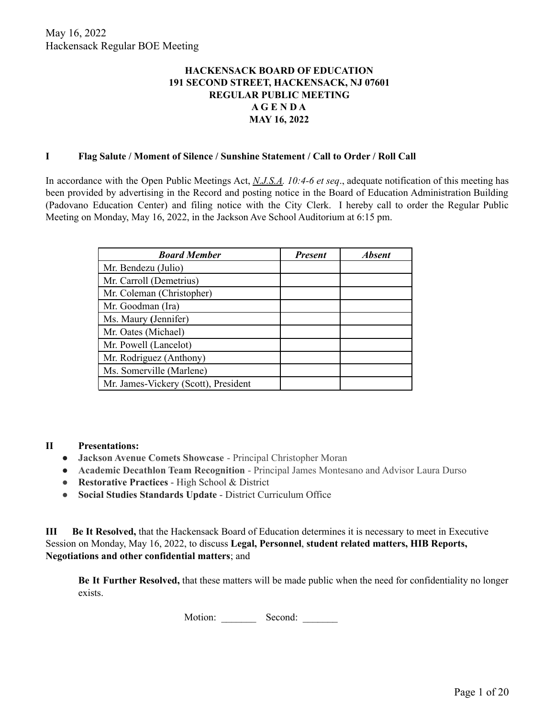## **HACKENSACK BOARD OF EDUCATION 191 SECOND STREET, HACKENSACK, NJ 07601 REGULAR PUBLIC MEETING A G E N D A MAY 16, 2022**

#### **I Flag Salute / Moment of Silence / Sunshine Statement / Call to Order / Roll Call**

In accordance with the Open Public Meetings Act, *N.J.S.A. 10:4-6 et seq*., adequate notification of this meeting has been provided by advertising in the Record and posting notice in the Board of Education Administration Building (Padovano Education Center) and filing notice with the City Clerk. I hereby call to order the Regular Public Meeting on Monday, May 16, 2022, in the Jackson Ave School Auditorium at 6:15 pm.

| <b>Board Member</b>                  | <b>Present</b> | <b>Absent</b> |
|--------------------------------------|----------------|---------------|
| Mr. Bendezu (Julio)                  |                |               |
| Mr. Carroll (Demetrius)              |                |               |
| Mr. Coleman (Christopher)            |                |               |
| Mr. Goodman (Ira)                    |                |               |
| Ms. Maury (Jennifer)                 |                |               |
| Mr. Oates (Michael)                  |                |               |
| Mr. Powell (Lancelot)                |                |               |
| Mr. Rodriguez (Anthony)              |                |               |
| Ms. Somerville (Marlene)             |                |               |
| Mr. James-Vickery (Scott), President |                |               |

#### **II Presentations:**

- **Jackson Avenue Comets Showcase** Principal Christopher Moran
- **Academic Decathlon Team Recognition** Principal James Montesano and Advisor Laura Durso
- **Restorative Practices** High School & District
- **Social Studies Standards Update** District Curriculum Office

**III Be It Resolved,** that the Hackensack Board of Education determines it is necessary to meet in Executive Session on Monday, May 16, 2022, to discuss **Legal, Personnel**, **student related matters, HIB Reports, Negotiations and other confidential matters**; and

**Be It Further Resolved,** that these matters will be made public when the need for confidentiality no longer exists.

Motion: Second: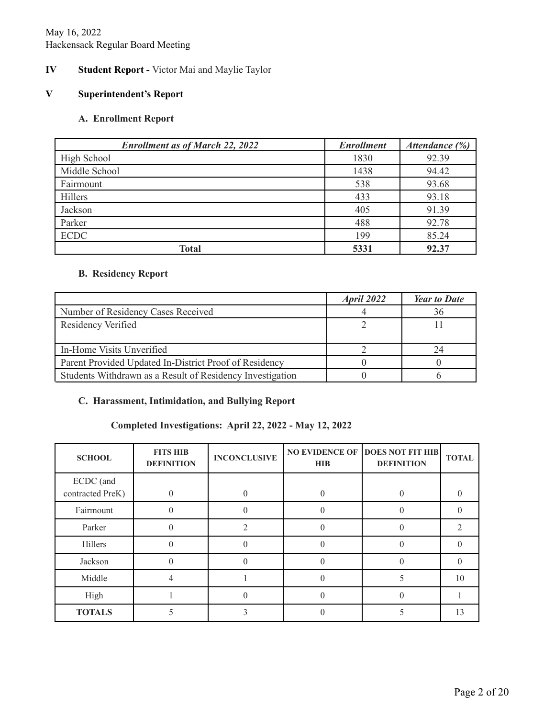## May 16, 2022 Hackensack Regular Board Meeting

# **IV Student Report -** Victor Mai and Maylie Taylor

#### **V Superintendent's Report**

## **A. Enrollment Report**

| <b>Enrollment as of March 22, 2022</b> | <b>Enrollment</b> | Attendance (%) |
|----------------------------------------|-------------------|----------------|
| High School                            | 1830              | 92.39          |
| Middle School                          | 1438              | 94.42          |
| Fairmount                              | 538               | 93.68          |
| Hillers                                | 433               | 93.18          |
| Jackson                                | 405               | 91.39          |
| Parker                                 | 488               | 92.78          |
| <b>ECDC</b>                            | 199               | 85.24          |
| <b>Total</b>                           | 5331              | 92.37          |

#### **B. Residency Report**

|                                                           | April 2022 | <b>Year to Date</b> |
|-----------------------------------------------------------|------------|---------------------|
| Number of Residency Cases Received                        |            | 36                  |
| Residency Verified                                        |            |                     |
|                                                           |            |                     |
| In-Home Visits Unverified                                 |            | 24                  |
| Parent Provided Updated In-District Proof of Residency    |            |                     |
| Students Withdrawn as a Result of Residency Investigation |            |                     |

# **C. Harassment, Intimidation, and Bullying Report**

# **Completed Investigations: April 22, 2022 - May 12, 2022**

| <b>SCHOOL</b>                 | <b>FITS HIB</b><br><b>DEFINITION</b> | <b>INCONCLUSIVE</b> | <b>HIB</b> | <b>NO EVIDENCE OF DOES NOT FIT HIB</b><br><b>DEFINITION</b> | <b>TOTAL</b> |
|-------------------------------|--------------------------------------|---------------------|------------|-------------------------------------------------------------|--------------|
| ECDC (and<br>contracted PreK) | $\Omega$                             |                     |            |                                                             |              |
| Fairmount                     | 0                                    |                     |            |                                                             |              |
| Parker                        | $\Omega$                             | ↑                   |            | 0                                                           |              |
| Hillers                       | $\theta$                             |                     |            | 0                                                           |              |
| Jackson                       | 0                                    |                     |            |                                                             |              |
| Middle                        |                                      |                     |            |                                                             | 10           |
| High                          |                                      |                     |            |                                                             |              |
| <b>TOTALS</b>                 |                                      |                     |            |                                                             | 13           |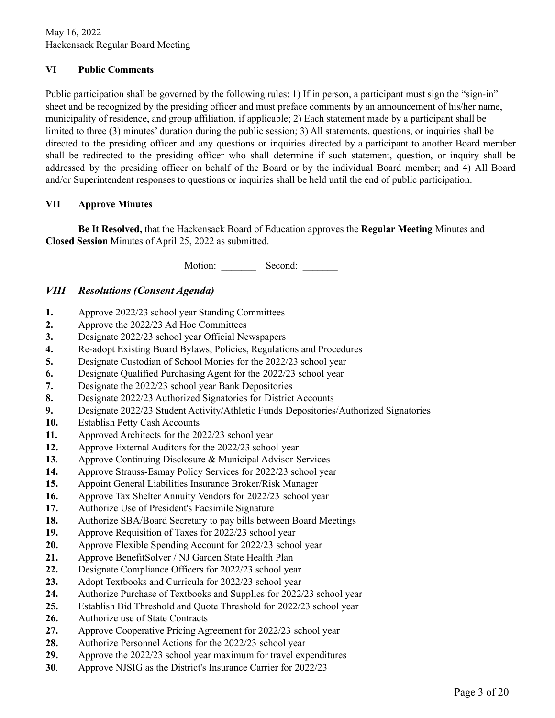May 16, 2022 Hackensack Regular Board Meeting

## **VI Public Comments**

Public participation shall be governed by the following rules: 1) If in person, a participant must sign the "sign-in" sheet and be recognized by the presiding officer and must preface comments by an announcement of his/her name, municipality of residence, and group affiliation, if applicable; 2) Each statement made by a participant shall be limited to three (3) minutes' duration during the public session; 3) All statements, questions, or inquiries shall be directed to the presiding officer and any questions or inquiries directed by a participant to another Board member shall be redirected to the presiding officer who shall determine if such statement, question, or inquiry shall be addressed by the presiding officer on behalf of the Board or by the individual Board member; and 4) All Board and/or Superintendent responses to questions or inquiries shall be held until the end of public participation.

#### **VII Approve Minutes**

**Be It Resolved,** that the Hackensack Board of Education approves the **Regular Meeting** Minutes and **Closed Session** Minutes of April 25, 2022 as submitted.

Motion: Second:

## *VIII Resolutions (Consent Agenda)*

- **1.** Approve 2022/23 school year Standing Committees
- **2.** Approve the 2022/23 Ad Hoc Committees
- **3.** Designate 2022/23 school year Official Newspapers
- **4.** Re-adopt Existing Board Bylaws, Policies, Regulations and Procedures
- **5.** Designate Custodian of School Monies for the 2022/23 school year
- **6.** Designate Qualified Purchasing Agent for the 2022/23 school year
- **7.** Designate the 2022/23 school year Bank Depositories
- **8.** Designate 2022/23 Authorized Signatories for District Accounts
- **9.** Designate 2022/23 Student Activity/Athletic Funds Depositories/Authorized Signatories
- **10.** Establish Petty Cash Accounts
- **11.** Approved Architects for the 2022/23 school year
- **12.** Approve External Auditors for the 2022/23 school year
- **13**. Approve Continuing Disclosure & Municipal Advisor Services
- **14.** Approve Strauss-Esmay Policy Services for 2022/23 school year
- **15.** Appoint General Liabilities Insurance Broker/Risk Manager
- **16.** Approve Tax Shelter Annuity Vendors for 2022/23 school year
- **17.** Authorize Use of President's Facsimile Signature
- **18.** Authorize SBA/Board Secretary to pay bills between Board Meetings
- **19.** Approve Requisition of Taxes for 2022/23 school year
- **20.** Approve Flexible Spending Account for 2022/23 school year
- **21.** Approve BenefitSolver / NJ Garden State Health Plan
- **22.** Designate Compliance Officers for 2022/23 school year
- **23.** Adopt Textbooks and Curricula for 2022/23 school year
- **24.** Authorize Purchase of Textbooks and Supplies for 2022/23 school year
- **25.** Establish Bid Threshold and Quote Threshold for 2022/23 school year
- **26.** Authorize use of State Contracts
- **27.** Approve Cooperative Pricing Agreement for 2022/23 school year
- **28.** Authorize Personnel Actions for the 2022/23 school year
- **29.** Approve the 2022/23 school year maximum for travel expenditures
- **30**. Approve NJSIG as the District's Insurance Carrier for 2022/23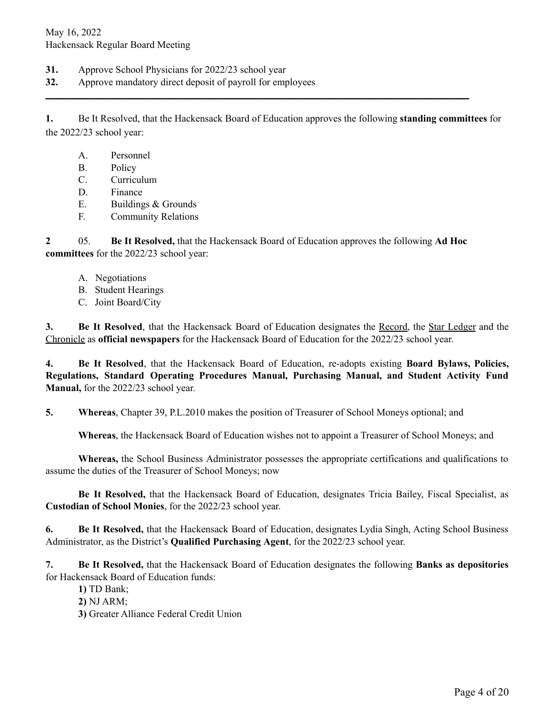- **31.** Approve School Physicians for 2022/23 school year
- **32.** Approve mandatory direct deposit of payroll for employees

**1.** Be It Resolved, that the Hackensack Board of Education approves the following **standing committees** for the 2022/23 school year:

**\_\_\_\_\_\_\_\_\_\_\_\_\_\_\_\_\_\_\_\_\_\_\_\_\_\_\_\_\_\_\_\_\_\_\_\_\_\_\_\_\_\_\_\_\_\_\_\_\_\_\_\_\_\_\_\_\_\_\_\_\_\_\_\_\_\_\_\_\_\_\_\_\_\_\_\_\_\_\_\_\_\_\_\_\_**

- A. Personnel
- B. Policy
- C. Curriculum
- D. Finance
- E. Buildings & Grounds
- F. Community Relations

**2** 05. **Be It Resolved,** that the Hackensack Board of Education approves the following **Ad Hoc committees** for the 2022/23 school year:

- A. Negotiations
- B. Student Hearings
- C. Joint Board/City

**3. Be It Resolved**, that the Hackensack Board of Education designates the Record, the Star Ledger and the Chronicle as **official newspapers** for the Hackensack Board of Education for the 2022/23 school year.

**4. Be It Resolved**, that the Hackensack Board of Education, re-adopts existing **Board Bylaws, Policies, Regulations, Standard Operating Procedures Manual, Purchasing Manual, and Student Activity Fund Manual,** for the 2022/23 school year.

**5. Whereas**, Chapter 39, P.L.2010 makes the position of Treasurer of School Moneys optional; and

**Whereas**, the Hackensack Board of Education wishes not to appoint a Treasurer of School Moneys; and

**Whereas,** the School Business Administrator possesses the appropriate certifications and qualifications to assume the duties of the Treasurer of School Moneys; now

**Be It Resolved,** that the Hackensack Board of Education, designates Tricia Bailey, Fiscal Specialist, as **Custodian of School Monies**, for the 2022/23 school year.

**6. Be It Resolved,** that the Hackensack Board of Education, designates Lydia Singh, Acting School Business Administrator, as the District's **Qualified Purchasing Agent**, for the 2022/23 school year.

**7. Be It Resolved,** that the Hackensack Board of Education designates the following **Banks as depositories** for Hackensack Board of Education funds:

- **1)** TD Bank;
- **2)** NJ ARM;
- **3)** Greater Alliance Federal Credit Union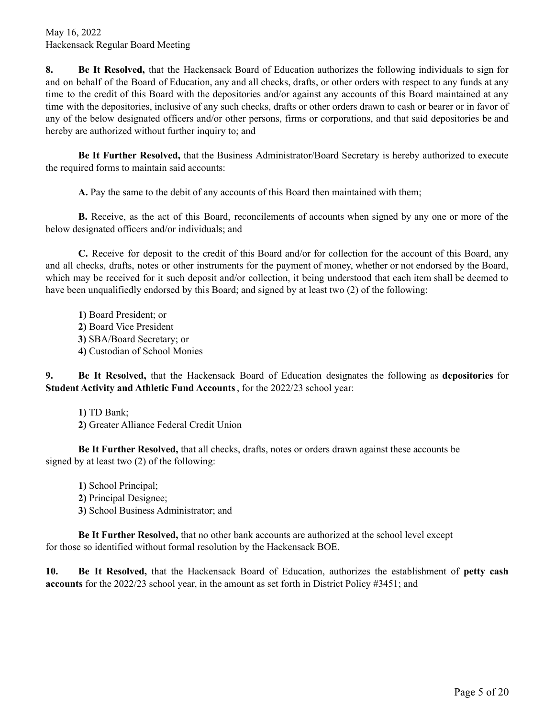**8. Be It Resolved,** that the Hackensack Board of Education authorizes the following individuals to sign for and on behalf of the Board of Education, any and all checks, drafts, or other orders with respect to any funds at any time to the credit of this Board with the depositories and/or against any accounts of this Board maintained at any time with the depositories, inclusive of any such checks, drafts or other orders drawn to cash or bearer or in favor of any of the below designated officers and/or other persons, firms or corporations, and that said depositories be and hereby are authorized without further inquiry to; and

**Be It Further Resolved,** that the Business Administrator/Board Secretary is hereby authorized to execute the required forms to maintain said accounts:

**A.** Pay the same to the debit of any accounts of this Board then maintained with them;

**B.** Receive, as the act of this Board, reconcilements of accounts when signed by any one or more of the below designated officers and/or individuals; and

**C.** Receive for deposit to the credit of this Board and/or for collection for the account of this Board, any and all checks, drafts, notes or other instruments for the payment of money, whether or not endorsed by the Board, which may be received for it such deposit and/or collection, it being understood that each item shall be deemed to have been unqualifiedly endorsed by this Board; and signed by at least two (2) of the following:

**1)** Board President; or **2)** Board Vice President **3)** SBA/Board Secretary; or **4)** Custodian of School Monies

**9. Be It Resolved,** that the Hackensack Board of Education designates the following as **depositories** for **Student Activity and Athletic Fund Accounts**, for the 2022/23 school year:

**1)** TD Bank;

**2)** Greater Alliance Federal Credit Union

**Be It Further Resolved,** that all checks, drafts, notes or orders drawn against these accounts be signed by at least two (2) of the following:

**1)** School Principal; **2)** Principal Designee; **3)** School Business Administrator; and

**Be It Further Resolved,** that no other bank accounts are authorized at the school level except for those so identified without formal resolution by the Hackensack BOE.

**10. Be It Resolved,** that the Hackensack Board of Education, authorizes the establishment of **petty cash accounts** for the 2022/23 school year, in the amount as set forth in District Policy #3451; and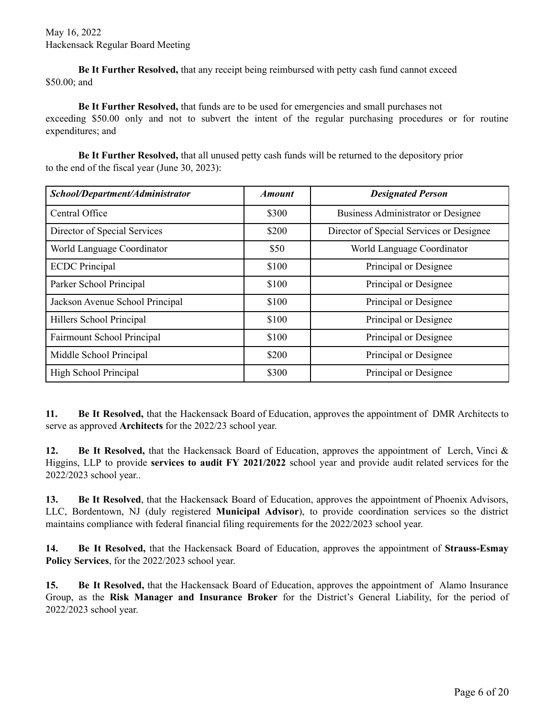**Be It Further Resolved,** that any receipt being reimbursed with petty cash fund cannot exceed \$50.00; and

**Be It Further Resolved,** that funds are to be used for emergencies and small purchases not exceeding \$50.00 only and not to subvert the intent of the regular purchasing procedures or for routine expenditures; and

**Be It Further Resolved,** that all unused petty cash funds will be returned to the depository prior to the end of the fiscal year (June 30, 2023):

| School/Department/Administrator | <i><b>Amount</b></i> | <b>Designated Person</b>                 |
|---------------------------------|----------------------|------------------------------------------|
| Central Office                  | \$300                | Business Administrator or Designee       |
| Director of Special Services    | \$200                | Director of Special Services or Designee |
| World Language Coordinator      | \$50                 | World Language Coordinator               |
| <b>ECDC</b> Principal           | \$100                | Principal or Designee                    |
| Parker School Principal         | \$100                | Principal or Designee                    |
| Jackson Avenue School Principal | \$100                | Principal or Designee                    |
| Hillers School Principal        | \$100                | Principal or Designee                    |
| Fairmount School Principal      | \$100                | Principal or Designee                    |
| Middle School Principal         | \$200                | Principal or Designee                    |
| High School Principal           | \$300                | Principal or Designee                    |

**11. Be It Resolved,** that the Hackensack Board of Education, approves the appointment of DMR Architects to serve as approved **Architects** for the 2022/23 school year.

**12. Be It Resolved,** that the Hackensack Board of Education, approves the appointment of Lerch, Vinci & Higgins, LLP to provide **services to audit FY 2021/2022** school year and provide audit related services for the 2022/2023 school year..

**13. Be It Resolved**, that the Hackensack Board of Education, approves the appointment of Phoenix Advisors, LLC, Bordentown, NJ (duly registered **Municipal Advisor**), to provide coordination services so the district maintains compliance with federal financial filing requirements for the 2022/2023 school year.

**14. Be It Resolved,** that the Hackensack Board of Education, approves the appointment of **Strauss-Esmay Policy Services**, for the 2022/2023 school year.

**15. Be It Resolved,** that the Hackensack Board of Education, approves the appointment of Alamo Insurance Group, as the **Risk Manager and Insurance Broker** for the District's General Liability, for the period of 2022/2023 school year.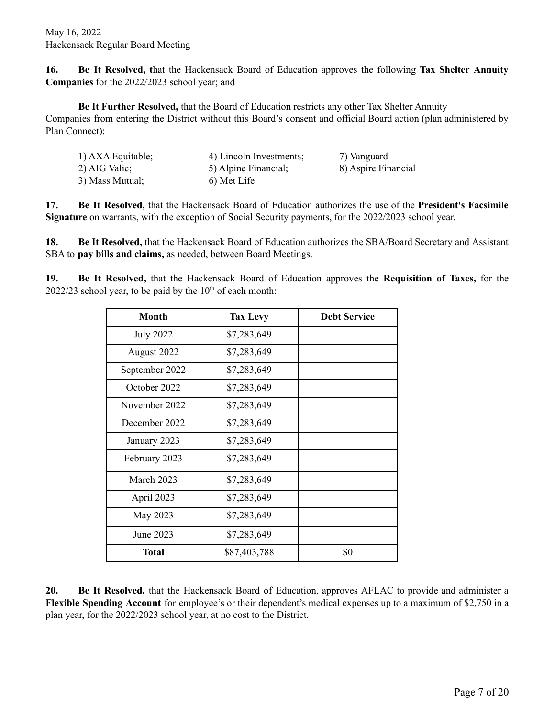**16. Be It Resolved, t**hat the Hackensack Board of Education approves the following **Tax Shelter Annuity Companies** for the 2022/2023 school year; and

**Be It Further Resolved,** that the Board of Education restricts any other Tax Shelter Annuity Companies from entering the District without this Board's consent and official Board action (plan administered by Plan Connect):

| 1) AXA Equitable; | 4) Lincoln Investments; | 7) Vanguard         |
|-------------------|-------------------------|---------------------|
| 2) AIG Valic;     | 5) Alpine Financial;    | 8) Aspire Financial |
| 3) Mass Mutual;   | 6) Met Life             |                     |

**17. Be It Resolved,** that the Hackensack Board of Education authorizes the use of the **President's Facsimile Signature** on warrants, with the exception of Social Security payments, for the 2022/2023 school year.

**18. Be It Resolved,** that the Hackensack Board of Education authorizes the SBA/Board Secretary and Assistant SBA to **pay bills and claims,** as needed, between Board Meetings.

**19. Be It Resolved,** that the Hackensack Board of Education approves the **Requisition of Taxes,** for the  $2022/23$  school year, to be paid by the  $10<sup>th</sup>$  of each month:

| <b>Month</b>     | <b>Tax Levy</b> | <b>Debt Service</b> |
|------------------|-----------------|---------------------|
| <b>July 2022</b> | \$7,283,649     |                     |
| August 2022      | \$7,283,649     |                     |
| September 2022   | \$7,283,649     |                     |
| October 2022     | \$7,283,649     |                     |
| November 2022    | \$7,283,649     |                     |
| December 2022    | \$7,283,649     |                     |
| January 2023     | \$7,283,649     |                     |
| February 2023    | \$7,283,649     |                     |
| March 2023       | \$7,283,649     |                     |
| April 2023       | \$7,283,649     |                     |
| May 2023         | \$7,283,649     |                     |
| June 2023        | \$7,283,649     |                     |
| <b>Total</b>     | \$87,403,788    | \$0                 |

**20. Be It Resolved,** that the Hackensack Board of Education, approves AFLAC to provide and administer a **Flexible Spending Account** for employee's or their dependent's medical expenses up to a maximum of \$2,750 in a plan year, for the 2022/2023 school year, at no cost to the District.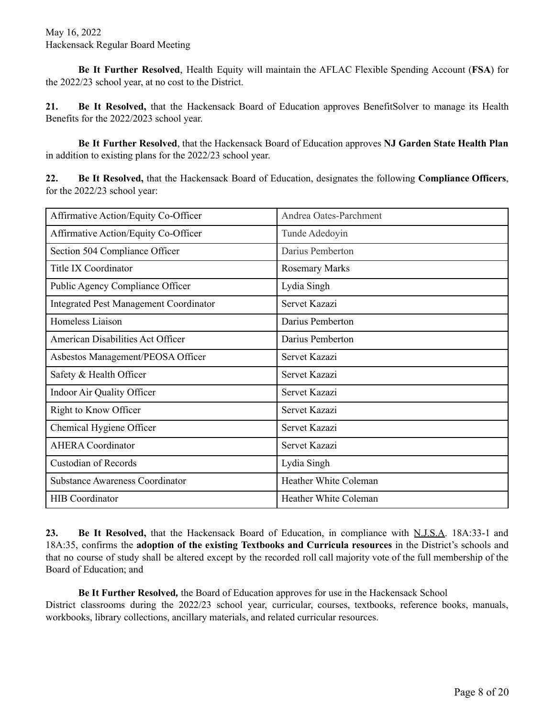**Be It Further Resolved**, Health Equity will maintain the AFLAC Flexible Spending Account (**FSA**) for the 2022/23 school year, at no cost to the District.

**21. Be It Resolved,** that the Hackensack Board of Education approves BenefitSolver to manage its Health Benefits for the 2022/2023 school year.

**Be It Further Resolved**, that the Hackensack Board of Education approves **NJ Garden State Health Plan** in addition to existing plans for the 2022/23 school year.

**22. Be It Resolved,** that the Hackensack Board of Education, designates the following **Compliance Officers**, for the 2022/23 school year:

| Affirmative Action/Equity Co-Officer          | Andrea Oates-Parchment       |
|-----------------------------------------------|------------------------------|
| Affirmative Action/Equity Co-Officer          | Tunde Adedoyin               |
| Section 504 Compliance Officer                | Darius Pemberton             |
| <b>Title IX Coordinator</b>                   | <b>Rosemary Marks</b>        |
| Public Agency Compliance Officer              | Lydia Singh                  |
| <b>Integrated Pest Management Coordinator</b> | Servet Kazazi                |
| Homeless Liaison                              | Darius Pemberton             |
| American Disabilities Act Officer             | Darius Pemberton             |
| Asbestos Management/PEOSA Officer             | Servet Kazazi                |
| Safety & Health Officer                       | Servet Kazazi                |
| Indoor Air Quality Officer                    | Servet Kazazi                |
| Right to Know Officer                         | Servet Kazazi                |
| Chemical Hygiene Officer                      | Servet Kazazi                |
| <b>AHERA</b> Coordinator                      | Servet Kazazi                |
| <b>Custodian of Records</b>                   | Lydia Singh                  |
| <b>Substance Awareness Coordinator</b>        | <b>Heather White Coleman</b> |
| <b>HIB</b> Coordinator                        | Heather White Coleman        |
|                                               |                              |

**23. Be It Resolved,** that the Hackensack Board of Education, in compliance with N.J.S.A. 18A:33-1 and 18A:35, confirms the **adoption of the existing Textbooks and Curricula resources** in the District's schools and that no course of study shall be altered except by the recorded roll call majority vote of the full membership of the Board of Education; and

**Be It Further Resolved***,* the Board of Education approves for use in the Hackensack School District classrooms during the 2022/23 school year, curricular, courses, textbooks, reference books, manuals, workbooks, library collections, ancillary materials, and related curricular resources.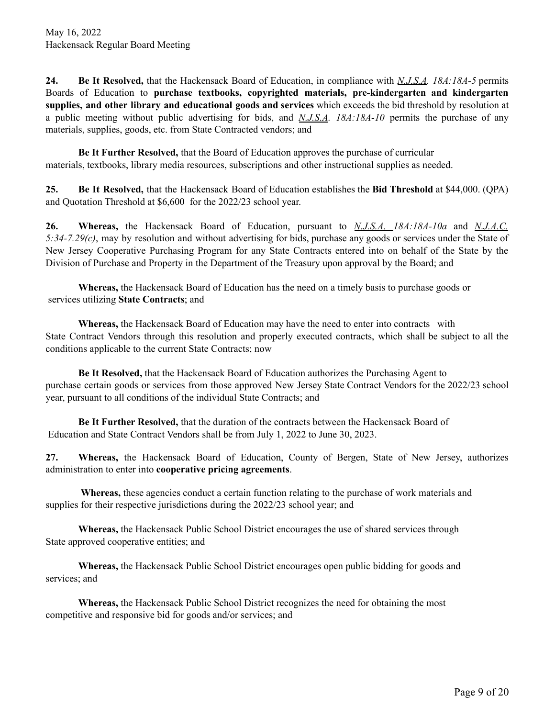**24. Be It Resolved,** that the Hackensack Board of Education, in compliance with *N.J.S.A. 18A:18A-5* permits Boards of Education to **purchase textbooks, copyrighted materials, pre-kindergarten and kindergarten supplies, and other library and educational goods and services** which exceeds the bid threshold by resolution at a public meeting without public advertising for bids, and *N.J.S.A. 18A:18A-10* permits the purchase of any materials, supplies, goods, etc. from State Contracted vendors; and

**Be It Further Resolved,** that the Board of Education approves the purchase of curricular materials, textbooks, library media resources, subscriptions and other instructional supplies as needed.

**25. Be It Resolved,** that the Hackensack Board of Education establishes the **Bid Threshold** at \$44,000. (QPA) and Quotation Threshold at \$6,600 for the 2022/23 school year.

**26. Whereas,** the Hackensack Board of Education, pursuant to *N.J.S.A. 18A:18A-10a* and *N.J.A.C. 5:34-7.29(c)*, may by resolution and without advertising for bids, purchase any goods or services under the State of New Jersey Cooperative Purchasing Program for any State Contracts entered into on behalf of the State by the Division of Purchase and Property in the Department of the Treasury upon approval by the Board; and

**Whereas,** the Hackensack Board of Education has the need on a timely basis to purchase goods or services utilizing **State Contracts**; and

**Whereas,** the Hackensack Board of Education may have the need to enter into contracts with State Contract Vendors through this resolution and properly executed contracts, which shall be subject to all the conditions applicable to the current State Contracts; now

**Be It Resolved,** that the Hackensack Board of Education authorizes the Purchasing Agent to purchase certain goods or services from those approved New Jersey State Contract Vendors for the 2022/23 school year, pursuant to all conditions of the individual State Contracts; and

**Be It Further Resolved,** that the duration of the contracts between the Hackensack Board of Education and State Contract Vendors shall be from July 1, 2022 to June 30, 2023.

**27. Whereas,** the Hackensack Board of Education, County of Bergen, State of New Jersey, authorizes administration to enter into **cooperative pricing agreements**.

**Whereas,** these agencies conduct a certain function relating to the purchase of work materials and supplies for their respective jurisdictions during the 2022/23 school year; and

**Whereas,** the Hackensack Public School District encourages the use of shared services through State approved cooperative entities; and

**Whereas,** the Hackensack Public School District encourages open public bidding for goods and services; and

**Whereas,** the Hackensack Public School District recognizes the need for obtaining the most competitive and responsive bid for goods and/or services; and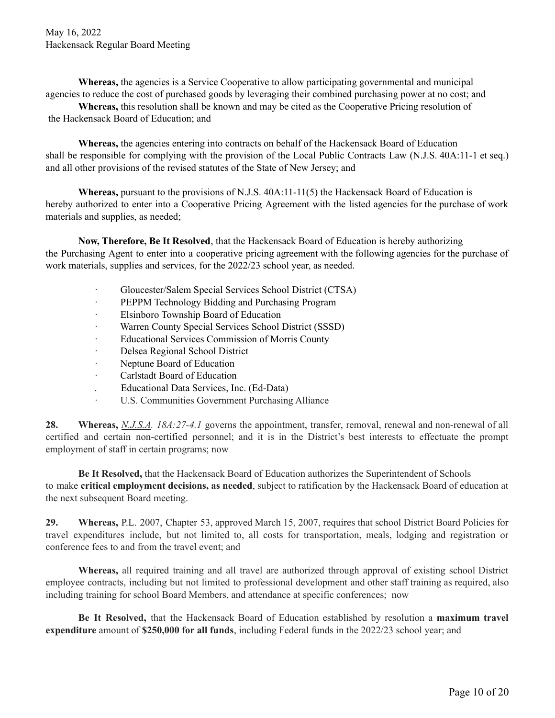**Whereas,** the agencies is a Service Cooperative to allow participating governmental and municipal agencies to reduce the cost of purchased goods by leveraging their combined purchasing power at no cost; and

**Whereas,** this resolution shall be known and may be cited as the Cooperative Pricing resolution of the Hackensack Board of Education; and

**Whereas,** the agencies entering into contracts on behalf of the Hackensack Board of Education shall be responsible for complying with the provision of the Local Public Contracts Law (N.J.S. 40A:11-1 et seq.) and all other provisions of the revised statutes of the State of New Jersey; and

**Whereas,** pursuant to the provisions of N.J.S. 40A:11-11(5) the Hackensack Board of Education is hereby authorized to enter into a Cooperative Pricing Agreement with the listed agencies for the purchase of work materials and supplies, as needed;

**Now, Therefore, Be It Resolved**, that the Hackensack Board of Education is hereby authorizing the Purchasing Agent to enter into a cooperative pricing agreement with the following agencies for the purchase of work materials, supplies and services, for the 2022/23 school year, as needed.

- · Gloucester/Salem Special Services School District (CTSA)
- · PEPPM Technology Bidding and Purchasing Program
- · Elsinboro Township Board of Education
- Warren County Special Services School District (SSSD)
- Educational Services Commission of Morris County
- · Delsea Regional School District
- · Neptune Board of Education
- · Carlstadt Board of Education
- . Educational Data Services, Inc. (Ed-Data)
- U.S. Communities Government Purchasing Alliance

**28. Whereas,** *N.J.S.A. 18A:27-4.1* governs the appointment, transfer, removal, renewal and non-renewal of all certified and certain non-certified personnel; and it is in the District's best interests to effectuate the prompt employment of staff in certain programs; now

**Be It Resolved,** that the Hackensack Board of Education authorizes the Superintendent of Schools to make **critical employment decisions, as needed**, subject to ratification by the Hackensack Board of education at the next subsequent Board meeting.

**29. Whereas,** P.L. 2007, Chapter 53, approved March 15, 2007, requires that school District Board Policies for travel expenditures include, but not limited to, all costs for transportation, meals, lodging and registration or conference fees to and from the travel event; and

**Whereas,** all required training and all travel are authorized through approval of existing school District employee contracts, including but not limited to professional development and other staff training as required, also including training for school Board Members, and attendance at specific conferences; now

**Be It Resolved,** that the Hackensack Board of Education established by resolution a **maximum travel expenditure** amount of **\$250,000 for all funds**, including Federal funds in the 2022/23 school year; and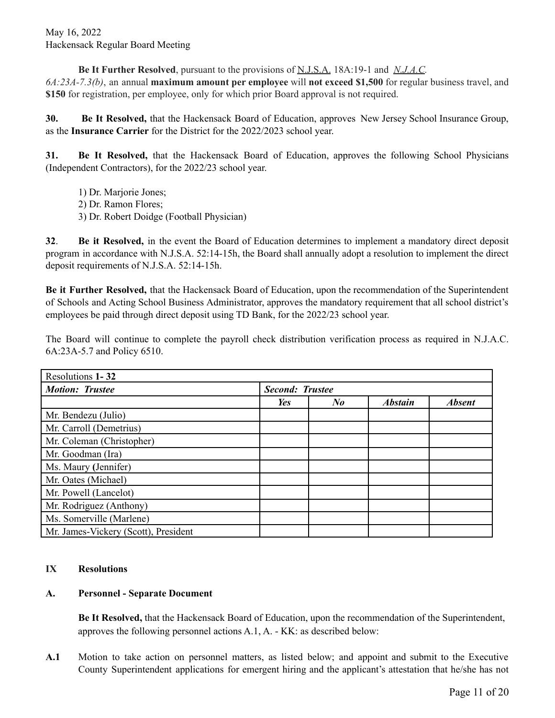**Be It Further Resolved**, pursuant to the provisions of N.J.S.A. 18A:19-1 and *N.J.A.C. 6A:23A-7.3(b)*, an annual **maximum amount per employee** will **not exceed \$1,500** for regular business travel, and **\$150** for registration, per employee, only for which prior Board approval is not required.

**30. Be It Resolved,** that the Hackensack Board of Education, approves New Jersey School Insurance Group, as the **Insurance Carrier** for the District for the 2022/2023 school year.

**31. Be It Resolved,** that the Hackensack Board of Education, approves the following School Physicians (Independent Contractors), for the 2022/23 school year.

- 1) Dr. Marjorie Jones;
- 2) Dr. Ramon Flores;
- 3) Dr. Robert Doidge (Football Physician)

**32**. **Be it Resolved,** in the event the Board of Education determines to implement a mandatory direct deposit program in accordance with N.J.S.A. 52:14-15h, the Board shall annually adopt a resolution to implement the direct deposit requirements of N.J.S.A. 52:14-15h.

**Be it Further Resolved,** that the Hackensack Board of Education, upon the recommendation of the Superintendent of Schools and Acting School Business Administrator, approves the mandatory requirement that all school district's employees be paid through direct deposit using TD Bank, for the 2022/23 school year.

The Board will continue to complete the payroll check distribution verification process as required in N.J.A.C. 6A:23A-5.7 and Policy 6510.

| Resolutions 1-32                     |                        |                      |                |               |
|--------------------------------------|------------------------|----------------------|----------------|---------------|
| <b>Motion: Trustee</b>               | <b>Second: Trustee</b> |                      |                |               |
|                                      | Yes                    | $N_{\boldsymbol{0}}$ | <b>Abstain</b> | <b>Absent</b> |
| Mr. Bendezu (Julio)                  |                        |                      |                |               |
| Mr. Carroll (Demetrius)              |                        |                      |                |               |
| Mr. Coleman (Christopher)            |                        |                      |                |               |
| Mr. Goodman (Ira)                    |                        |                      |                |               |
| Ms. Maury (Jennifer)                 |                        |                      |                |               |
| Mr. Oates (Michael)                  |                        |                      |                |               |
| Mr. Powell (Lancelot)                |                        |                      |                |               |
| Mr. Rodriguez (Anthony)              |                        |                      |                |               |
| Ms. Somerville (Marlene)             |                        |                      |                |               |
| Mr. James-Vickery (Scott), President |                        |                      |                |               |

## **IX Resolutions**

## **A. Personnel - Separate Document**

**Be It Resolved,** that the Hackensack Board of Education, upon the recommendation of the Superintendent, approves the following personnel actions A.1, A. - KK: as described below:

**A.1** Motion to take action on personnel matters, as listed below; and appoint and submit to the Executive County Superintendent applications for emergent hiring and the applicant's attestation that he/she has not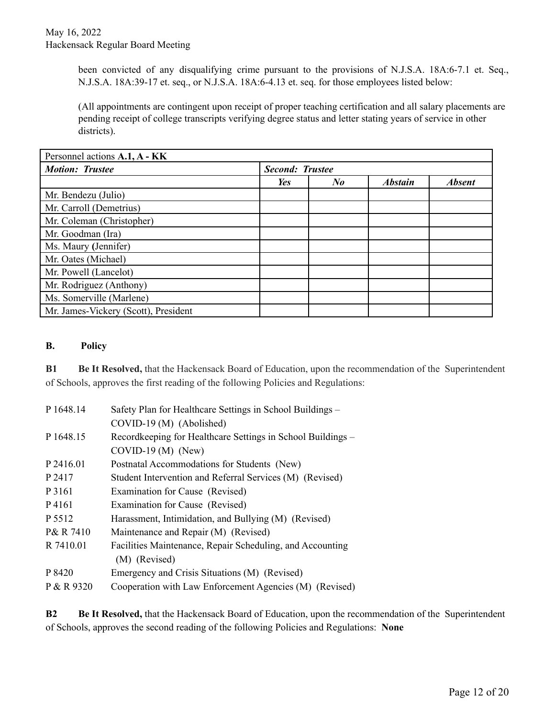been convicted of any disqualifying crime pursuant to the provisions of N.J.S.A. 18A:6-7.1 et. Seq., N.J.S.A. 18A:39-17 et. seq., or N.J.S.A. 18A:6-4.13 et. seq. for those employees listed below:

(All appointments are contingent upon receipt of proper teaching certification and all salary placements are pending receipt of college transcripts verifying degree status and letter stating years of service in other districts).

| Personnel actions A.1, A - KK        |                        |            |                |               |
|--------------------------------------|------------------------|------------|----------------|---------------|
| <b>Motion: Trustee</b>               | <b>Second: Trustee</b> |            |                |               |
|                                      | Yes                    | $\bm{N}$ o | <b>Abstain</b> | <b>Absent</b> |
| Mr. Bendezu (Julio)                  |                        |            |                |               |
| Mr. Carroll (Demetrius)              |                        |            |                |               |
| Mr. Coleman (Christopher)            |                        |            |                |               |
| Mr. Goodman (Ira)                    |                        |            |                |               |
| Ms. Maury (Jennifer)                 |                        |            |                |               |
| Mr. Oates (Michael)                  |                        |            |                |               |
| Mr. Powell (Lancelot)                |                        |            |                |               |
| Mr. Rodriguez (Anthony)              |                        |            |                |               |
| Ms. Somerville (Marlene)             |                        |            |                |               |
| Mr. James-Vickery (Scott), President |                        |            |                |               |

#### **B. Policy**

**B1 Be It Resolved,** that the Hackensack Board of Education, upon the recommendation of the Superintendent of Schools, approves the first reading of the following Policies and Regulations:

| P 1648.14  | Safety Plan for Healthcare Settings in School Buildings -   |
|------------|-------------------------------------------------------------|
|            | COVID-19 (M) (Abolished)                                    |
| P 1648.15  | Recordkeeping for Healthcare Settings in School Buildings – |
|            | $COVID-19(M)$ (New)                                         |
| P 2416.01  | Postnatal Accommodations for Students (New)                 |
| P 2417     | Student Intervention and Referral Services (M) (Revised)    |
| P 3161     | Examination for Cause (Revised)                             |
| P4161      | Examination for Cause (Revised)                             |
| P 5512     | Harassment, Intimidation, and Bullying (M) (Revised)        |
| P& R 7410  | Maintenance and Repair (M) (Revised)                        |
| R 7410.01  | Facilities Maintenance, Repair Scheduling, and Accounting   |
|            | (M) (Revised)                                               |
| P 8420     | Emergency and Crisis Situations (M) (Revised)               |
| P & R 9320 | Cooperation with Law Enforcement Agencies (M) (Revised)     |

**B2 Be It Resolved,** that the Hackensack Board of Education, upon the recommendation of the Superintendent of Schools, approves the second reading of the following Policies and Regulations: **None**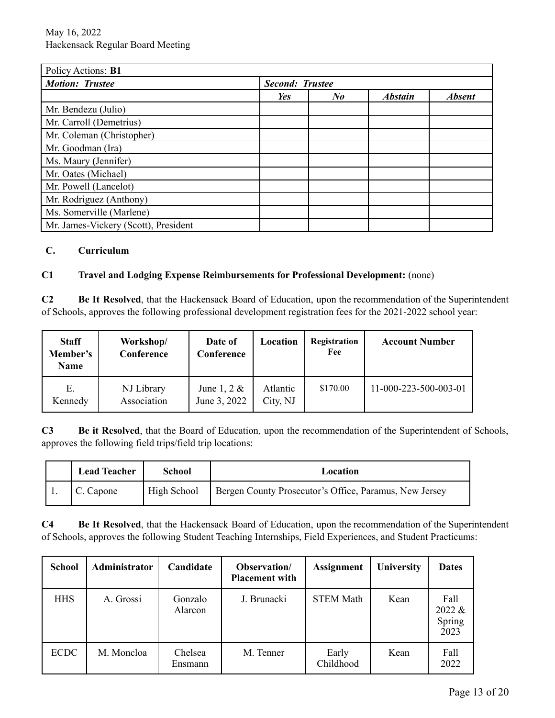| Policy Actions: B1                   |                        |                      |                |               |
|--------------------------------------|------------------------|----------------------|----------------|---------------|
| <b>Motion: Trustee</b>               | <b>Second: Trustee</b> |                      |                |               |
|                                      | Yes                    | $N_{\boldsymbol{0}}$ | <b>Abstain</b> | <b>Absent</b> |
| Mr. Bendezu (Julio)                  |                        |                      |                |               |
| Mr. Carroll (Demetrius)              |                        |                      |                |               |
| Mr. Coleman (Christopher)            |                        |                      |                |               |
| Mr. Goodman (Ira)                    |                        |                      |                |               |
| Ms. Maury (Jennifer)                 |                        |                      |                |               |
| Mr. Oates (Michael)                  |                        |                      |                |               |
| Mr. Powell (Lancelot)                |                        |                      |                |               |
| Mr. Rodriguez (Anthony)              |                        |                      |                |               |
| Ms. Somerville (Marlene)             |                        |                      |                |               |
| Mr. James-Vickery (Scott), President |                        |                      |                |               |

#### **C. Curriculum**

## **C1 Travel and Lodging Expense Reimbursements for Professional Development:** (none)

**C2 Be It Resolved**, that the Hackensack Board of Education, upon the recommendation of the Superintendent of Schools, approves the following professional development registration fees for the 2021-2022 school year:

| <b>Staff</b><br>Member's<br><b>Name</b> | Workshop/<br>Conference   | Date of<br>Conference          | Location             | Registration<br>Fee | <b>Account Number</b> |
|-----------------------------------------|---------------------------|--------------------------------|----------------------|---------------------|-----------------------|
| Е.<br>Kennedy                           | NJ Library<br>Association | June 1, 2 $\&$<br>June 3, 2022 | Atlantic<br>City, NJ | \$170.00            | 11-000-223-500-003-01 |

**C3 Be it Resolved**, that the Board of Education, upon the recommendation of the Superintendent of Schools, approves the following field trips/field trip locations:

| <b>Lead Teacher</b> | <b>School</b> | Location                                               |
|---------------------|---------------|--------------------------------------------------------|
| C. Capone           | High School   | Bergen County Prosecutor's Office, Paramus, New Jersey |

**C4 Be It Resolved**, that the Hackensack Board of Education, upon the recommendation of the Superintendent of Schools, approves the following Student Teaching Internships, Field Experiences, and Student Practicums:

| <b>School</b> | Administrator | Candidate          | Observation/<br><b>Placement with</b> | <b>Assignment</b>  | University | <b>Dates</b>                     |
|---------------|---------------|--------------------|---------------------------------------|--------------------|------------|----------------------------------|
| <b>HHS</b>    | A. Grossi     | Gonzalo<br>Alarcon | J. Brunacki                           | <b>STEM Math</b>   | Kean       | Fall<br>2022 &<br>Spring<br>2023 |
| <b>ECDC</b>   | M. Moncloa    | Chelsea<br>Ensmann | M. Tenner                             | Early<br>Childhood | Kean       | Fall<br>2022                     |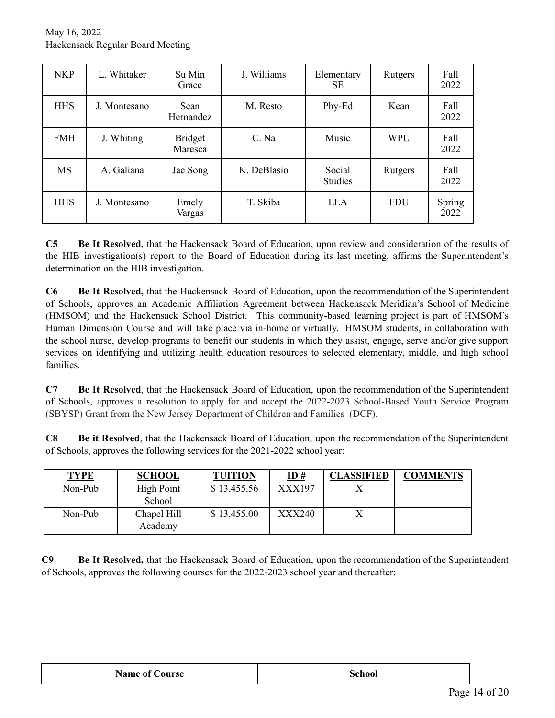| <b>NKP</b> | L. Whitaker  | Su Min<br>Grace                 | J. Williams | Elementary<br>SЕ         | Rutgers    | Fall<br>2022   |
|------------|--------------|---------------------------------|-------------|--------------------------|------------|----------------|
| <b>HHS</b> | J. Montesano | <b>Sean</b><br><b>Hernandez</b> | M. Resto    | Phy-Ed                   | Kean       | Fall<br>2022   |
| <b>FMH</b> | J. Whiting   | <b>Bridget</b><br>Maresca       | C. Na       | Music                    | <b>WPU</b> | Fall<br>2022   |
| <b>MS</b>  | A. Galiana   | Jae Song                        | K. DeBlasio | Social<br><b>Studies</b> | Rutgers    | Fall<br>2022   |
| <b>HHS</b> | J. Montesano | Emely<br>Vargas                 | T. Skiba    | <b>ELA</b>               | <b>FDU</b> | Spring<br>2022 |

**C5 Be It Resolved**, that the Hackensack Board of Education, upon review and consideration of the results of the HIB investigation(s) report to the Board of Education during its last meeting, affirms the Superintendent's determination on the HIB investigation.

**C6 Be It Resolved,** that the Hackensack Board of Education, upon the recommendation of the Superintendent of Schools, approves an Academic Affiliation Agreement between Hackensack Meridian's School of Medicine (HMSOM) and the Hackensack School District. This community-based learning project is part of HMSOM's Human Dimension Course and will take place via in-home or virtually. HMSOM students, in collaboration with the school nurse, develop programs to benefit our students in which they assist, engage, serve and/or give support services on identifying and utilizing health education resources to selected elementary, middle, and high school families.

**C7 Be It Resolved**, that the Hackensack Board of Education, upon the recommendation of the Superintendent of Schools, approves a resolution to apply for and accept the 2022-2023 School-Based Youth Service Program (SBYSP) Grant from the New Jersey Department of Children and Families (DCF).

**C8 Be it Resolved**, that the Hackensack Board of Education, upon the recommendation of the Superintendent of Schools, approves the following services for the 2021-2022 school year:

| <b>TYPE</b> | <b>SCHOOL</b>               | <b>TUITION</b> | <u>ID#</u>    | <b>CLASSIFIED</b> | <b>COMMENTS</b> |
|-------------|-----------------------------|----------------|---------------|-------------------|-----------------|
| Non-Pub     | <b>High Point</b><br>School | \$13,455.56    | XXX197        |                   |                 |
| Non-Pub     | Chapel Hill<br>Academy      | \$13,455.00    | <b>XXX240</b> |                   |                 |

**C9 Be It Resolved,** that the Hackensack Board of Education, upon the recommendation of the Superintendent of Schools, approves the following courses for the 2022-2023 school year and thereafter:

| <b>Name of Course</b> | School |  |
|-----------------------|--------|--|
|-----------------------|--------|--|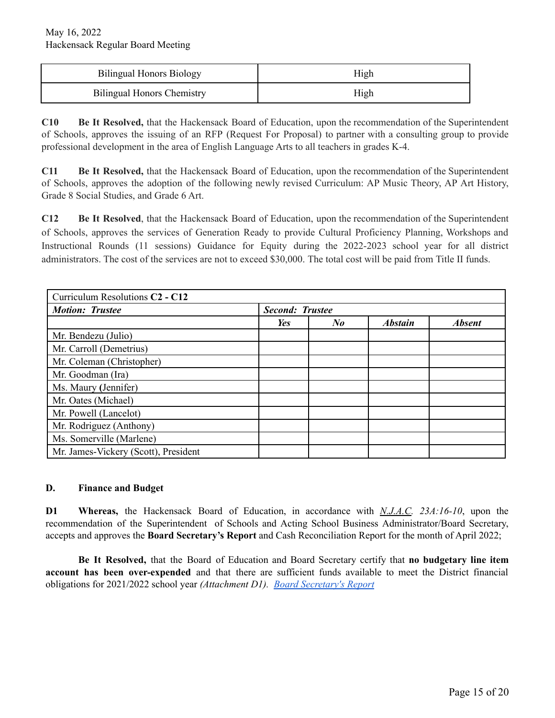| <b>Bilingual Honors Biology</b>   | High |
|-----------------------------------|------|
| <b>Bilingual Honors Chemistry</b> | High |

**C10 Be It Resolved,** that the Hackensack Board of Education, upon the recommendation of the Superintendent of Schools, approves the issuing of an RFP (Request For Proposal) to partner with a consulting group to provide professional development in the area of English Language Arts to all teachers in grades K-4.

**C11 Be It Resolved,** that the Hackensack Board of Education, upon the recommendation of the Superintendent of Schools, approves the adoption of the following newly revised Curriculum: AP Music Theory, AP Art History, Grade 8 Social Studies, and Grade 6 Art.

**C12 Be It Resolved**, that the Hackensack Board of Education, upon the recommendation of the Superintendent of Schools, approves the services of Generation Ready to provide Cultural Proficiency Planning, Workshops and Instructional Rounds (11 sessions) Guidance for Equity during the 2022-2023 school year for all district administrators. The cost of the services are not to exceed \$30,000. The total cost will be paid from Title II funds.

| Curriculum Resolutions C <sub>2</sub> - C <sub>12</sub> |                        |                      |                |               |
|---------------------------------------------------------|------------------------|----------------------|----------------|---------------|
| <b>Motion: Trustee</b>                                  | <b>Second: Trustee</b> |                      |                |               |
|                                                         | Yes                    | $N_{\boldsymbol{0}}$ | <b>Abstain</b> | <b>Absent</b> |
| Mr. Bendezu (Julio)                                     |                        |                      |                |               |
| Mr. Carroll (Demetrius)                                 |                        |                      |                |               |
| Mr. Coleman (Christopher)                               |                        |                      |                |               |
| Mr. Goodman (Ira)                                       |                        |                      |                |               |
| Ms. Maury (Jennifer)                                    |                        |                      |                |               |
| Mr. Oates (Michael)                                     |                        |                      |                |               |
| Mr. Powell (Lancelot)                                   |                        |                      |                |               |
| Mr. Rodriguez (Anthony)                                 |                        |                      |                |               |
| Ms. Somerville (Marlene)                                |                        |                      |                |               |
| Mr. James-Vickery (Scott), President                    |                        |                      |                |               |

#### **D. Finance and Budget**

**D1 Whereas,** the Hackensack Board of Education, in accordance with *N.J.A.C. 23A:16-10*, upon the recommendation of the Superintendent of Schools and Acting School Business Administrator/Board Secretary, accepts and approves the **Board Secretary's Report** and Cash Reconciliation Report for the month of April 2022;

**Be It Resolved,** that the Board of Education and Board Secretary certify that **no budgetary line item account has been over-expended** and that there are sufficient funds available to meet the District financial obligations for 2021/2022 school year *(Attachment D1). Board [Secretary's](https://drive.google.com/file/d/1DRbtMEwxDHJTbVBdIFBgzzPnd0NkWSws/view?usp=sharing) Report*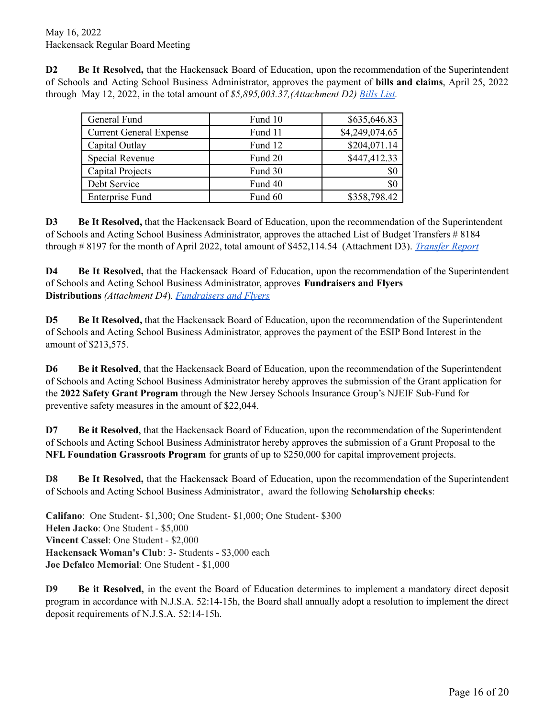**D2 Be It Resolved,** that the Hackensack Board of Education, upon the recommendation of the Superintendent of Schools and Acting School Business Administrator, approves the payment of **bills and claims**, April 25, 2022 through May 12, 2022, in the total amount of *\$5,895,003.37,(Attachment D2) [Bills](https://drive.google.com/file/d/1lRFRgYjfwfoVp3tXfcfaw7ZrdE8GUmeh/view?usp=sharing) List.*

| General Fund                   | Fund 10 | \$635,646.83   |
|--------------------------------|---------|----------------|
| <b>Current General Expense</b> | Fund 11 | \$4,249,074.65 |
| Capital Outlay                 | Fund 12 | \$204,071.14   |
| Special Revenue                | Fund 20 | \$447,412.33   |
| Capital Projects               | Fund 30 | \$0            |
| Debt Service                   | Fund 40 | \$0            |
| <b>Enterprise Fund</b>         | Fund 60 | \$358,798.42   |

**D3 Be It Resolved,** that the Hackensack Board of Education, upon the recommendation of the Superintendent of Schools and Acting School Business Administrator, approves the attached List of Budget Transfers # 8184 through # 8197 for the month of April 2022, total amount of \$452,114.54 (Attachment D3). *[Transfer](https://drive.google.com/file/d/1gW71QXUDmqm_VXuEm6PHQlX-_6eHeK11/view?usp=sharing) Report*

**D4 Be It Resolved,** that the Hackensack Board of Education, upon the recommendation of the Superintendent of Schools and Acting School Business Administrator, approves **Fundraisers and Flyers Distributions** *(Attachment D4*)*. [Fundraisers](https://drive.google.com/file/d/17cg8Y3OhSiQ5MbGUwpk6itDnx3c4to8T/view?usp=sharing) and Flyers*

**D5 Be It Resolved,** that the Hackensack Board of Education, upon the recommendation of the Superintendent of Schools and Acting School Business Administrator, approves the payment of the ESIP Bond Interest in the amount of \$213,575.

**D6 Be it Resolved**, that the Hackensack Board of Education, upon the recommendation of the Superintendent of Schools and Acting School Business Administrator hereby approves the submission of the Grant application for the **2022 Safety Grant Program** through the New Jersey Schools Insurance Group's NJEIF Sub-Fund for preventive safety measures in the amount of \$22,044.

**D7 Be it Resolved**, that the Hackensack Board of Education, upon the recommendation of the Superintendent of Schools and Acting School Business Administrator hereby approves the submission of a Grant Proposal to the **NFL Foundation Grassroots Program** for grants of up to \$250,000 for capital improvement projects.

**D8 Be It Resolved,** that the Hackensack Board of Education, upon the recommendation of the Superintendent of Schools and Acting School Business Administrator, award the following **Scholarship checks**:

**Califano**: One Student- \$1,300; One Student- \$1,000; One Student- \$300 **Helen Jacko**: One Student - \$5,000 **Vincent Cassel**: One Student - \$2,000 **Hackensack Woman's Club**: 3- Students - \$3,000 each **Joe Defalco Memorial**: One Student - \$1,000

**D9 Be it Resolved,** in the event the Board of Education determines to implement a mandatory direct deposit program in accordance with N.J.S.A. 52:14-15h, the Board shall annually adopt a resolution to implement the direct deposit requirements of N.J.S.A. 52:14-15h.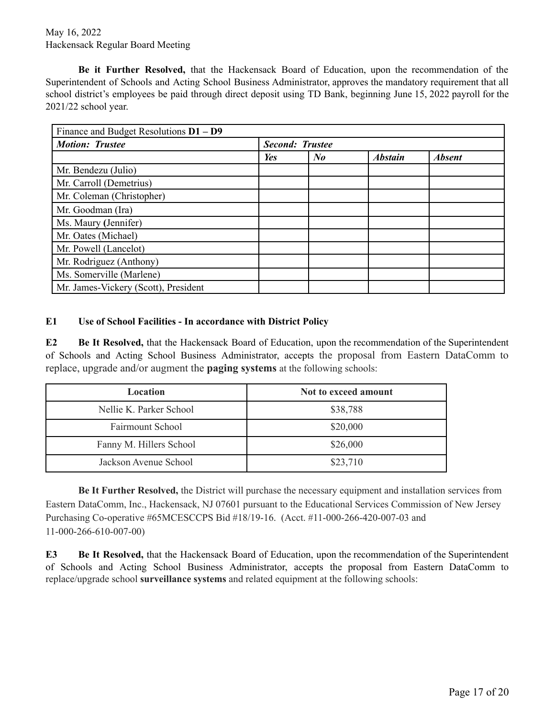## May 16, 2022 Hackensack Regular Board Meeting

**Be it Further Resolved,** that the Hackensack Board of Education, upon the recommendation of the Superintendent of Schools and Acting School Business Administrator, approves the mandatory requirement that all school district's employees be paid through direct deposit using TD Bank, beginning June 15, 2022 payroll for the 2021/22 school year.

| Finance and Budget Resolutions $D1 - D9$ |                        |         |                |               |
|------------------------------------------|------------------------|---------|----------------|---------------|
| <b>Motion: Trustee</b>                   | <b>Second: Trustee</b> |         |                |               |
|                                          | Yes                    | $N_{0}$ | <b>Abstain</b> | <b>Absent</b> |
| Mr. Bendezu (Julio)                      |                        |         |                |               |
| Mr. Carroll (Demetrius)                  |                        |         |                |               |
| Mr. Coleman (Christopher)                |                        |         |                |               |
| Mr. Goodman (Ira)                        |                        |         |                |               |
| Ms. Maury (Jennifer)                     |                        |         |                |               |
| Mr. Oates (Michael)                      |                        |         |                |               |
| Mr. Powell (Lancelot)                    |                        |         |                |               |
| Mr. Rodriguez (Anthony)                  |                        |         |                |               |
| Ms. Somerville (Marlene)                 |                        |         |                |               |
| Mr. James-Vickery (Scott), President     |                        |         |                |               |

#### **E1 Use of School Facilities - In accordance with District Policy**

**E2 Be It Resolved,** that the Hackensack Board of Education, upon the recommendation of the Superintendent of Schools and Acting School Business Administrator, accepts the proposal from Eastern DataComm to replace, upgrade and/or augment the **paging systems** at the following schools:

| Location                | Not to exceed amount |
|-------------------------|----------------------|
| Nellie K. Parker School | \$38,788             |
| <b>Fairmount School</b> | \$20,000             |
| Fanny M. Hillers School | \$26,000             |
| Jackson Avenue School   | \$23,710             |

**Be It Further Resolved,** the District will purchase the necessary equipment and installation services from Eastern DataComm, Inc., Hackensack, NJ 07601 pursuant to the Educational Services Commission of New Jersey Purchasing Co-operative #65MCESCCPS Bid #18/19-16. (Acct. #11-000-266-420-007-03 and 11-000-266-610-007-00)

**E3 Be It Resolved,** that the Hackensack Board of Education, upon the recommendation of the Superintendent of Schools and Acting School Business Administrator, accepts the proposal from Eastern DataComm to replace/upgrade school **surveillance systems** and related equipment at the following schools: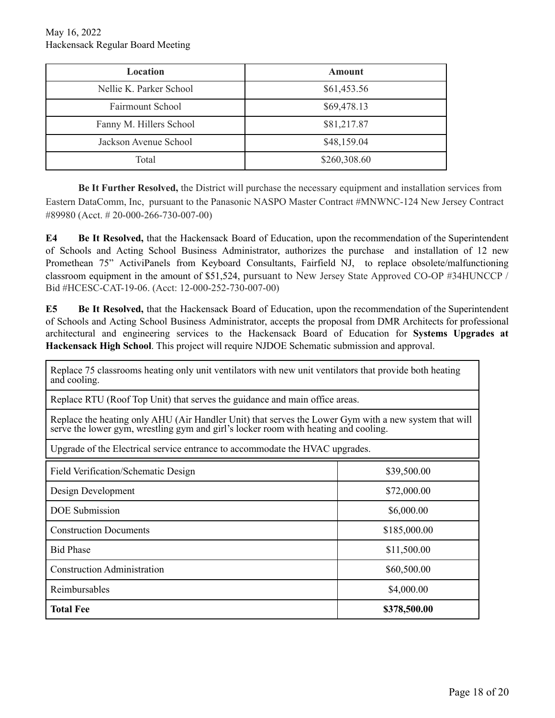| <b>Location</b>         | Amount       |
|-------------------------|--------------|
| Nellie K. Parker School | \$61,453.56  |
| <b>Fairmount School</b> | \$69,478.13  |
| Fanny M. Hillers School | \$81,217.87  |
| Jackson Avenue School   | \$48,159.04  |
| Total                   | \$260,308.60 |

**Be It Further Resolved,** the District will purchase the necessary equipment and installation services from Eastern DataComm, Inc, pursuant to the Panasonic NASPO Master Contract #MNWNC-124 New Jersey Contract #89980 (Acct. # 20-000-266-730-007-00)

**E4 Be It Resolved,** that the Hackensack Board of Education, upon the recommendation of the Superintendent of Schools and Acting School Business Administrator, authorizes the purchase and installation of 12 new Promethean 75" ActiviPanels from Keyboard Consultants, Fairfield NJ, to replace obsolete/malfunctioning classroom equipment in the amount of \$51,524, pursuant to New Jersey State Approved CO-OP #34HUNCCP / Bid #HCESC-CAT-19-06. (Acct: 12-000-252-730-007-00)

**E5 Be It Resolved,** that the Hackensack Board of Education, upon the recommendation of the Superintendent of Schools and Acting School Business Administrator, accepts the proposal from DMR Architects for professional architectural and engineering services to the Hackensack Board of Education for **Systems Upgrades at Hackensack High School**. This project will require NJDOE Schematic submission and approval.

Replace 75 classrooms heating only unit ventilators with new unit ventilators that provide both heating and cooling.

Replace RTU (Roof Top Unit) that serves the guidance and main office areas.

Replace the heating only AHU (Air Handler Unit) that serves the Lower Gym with a new system that will serve the lower gym, wrestling gym and girl's locker room with heating and cooling.

Upgrade of the Electrical service entrance to accommodate the HVAC upgrades.

| Field Verification/Schematic Design | \$39,500.00  |  |  |
|-------------------------------------|--------------|--|--|
| Design Development                  | \$72,000.00  |  |  |
| <b>DOE</b> Submission               | \$6,000.00   |  |  |
| <b>Construction Documents</b>       | \$185,000.00 |  |  |
| <b>Bid Phase</b>                    | \$11,500.00  |  |  |
| <b>Construction Administration</b>  | \$60,500.00  |  |  |
| Reimbursables                       | \$4,000.00   |  |  |
| <b>Total Fee</b>                    | \$378,500.00 |  |  |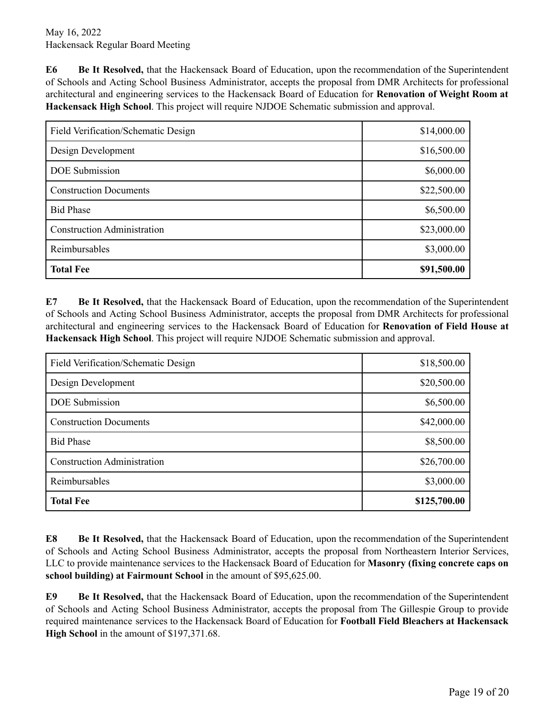**E6 Be It Resolved,** that the Hackensack Board of Education, upon the recommendation of the Superintendent of Schools and Acting School Business Administrator, accepts the proposal from DMR Architects for professional architectural and engineering services to the Hackensack Board of Education for **Renovation of Weight Room at Hackensack High School**. This project will require NJDOE Schematic submission and approval.

| Field Verification/Schematic Design | \$14,000.00 |
|-------------------------------------|-------------|
| Design Development                  | \$16,500.00 |
| <b>DOE</b> Submission               | \$6,000.00  |
| <b>Construction Documents</b>       | \$22,500.00 |
| <b>Bid Phase</b>                    | \$6,500.00  |
| <b>Construction Administration</b>  | \$23,000.00 |
| Reimbursables                       | \$3,000.00  |
| <b>Total Fee</b>                    | \$91,500.00 |

**E7 Be It Resolved,** that the Hackensack Board of Education, upon the recommendation of the Superintendent of Schools and Acting School Business Administrator, accepts the proposal from DMR Architects for professional architectural and engineering services to the Hackensack Board of Education for **Renovation of Field House at Hackensack High School**. This project will require NJDOE Schematic submission and approval.

| Field Verification/Schematic Design | \$18,500.00  |
|-------------------------------------|--------------|
| Design Development                  | \$20,500.00  |
| <b>DOE</b> Submission               | \$6,500.00   |
| <b>Construction Documents</b>       | \$42,000.00  |
| <b>Bid Phase</b>                    | \$8,500.00   |
| <b>Construction Administration</b>  | \$26,700.00  |
| Reimbursables                       | \$3,000.00   |
| <b>Total Fee</b>                    | \$125,700.00 |

**E8 Be It Resolved,** that the Hackensack Board of Education, upon the recommendation of the Superintendent of Schools and Acting School Business Administrator, accepts the proposal from Northeastern Interior Services, LLC to provide maintenance services to the Hackensack Board of Education for **Masonry (fixing concrete caps on school building) at Fairmount School** in the amount of \$95,625.00.

**E9 Be It Resolved,** that the Hackensack Board of Education, upon the recommendation of the Superintendent of Schools and Acting School Business Administrator, accepts the proposal from The Gillespie Group to provide required maintenance services to the Hackensack Board of Education for **Football Field Bleachers at Hackensack High School** in the amount of \$197,371.68.